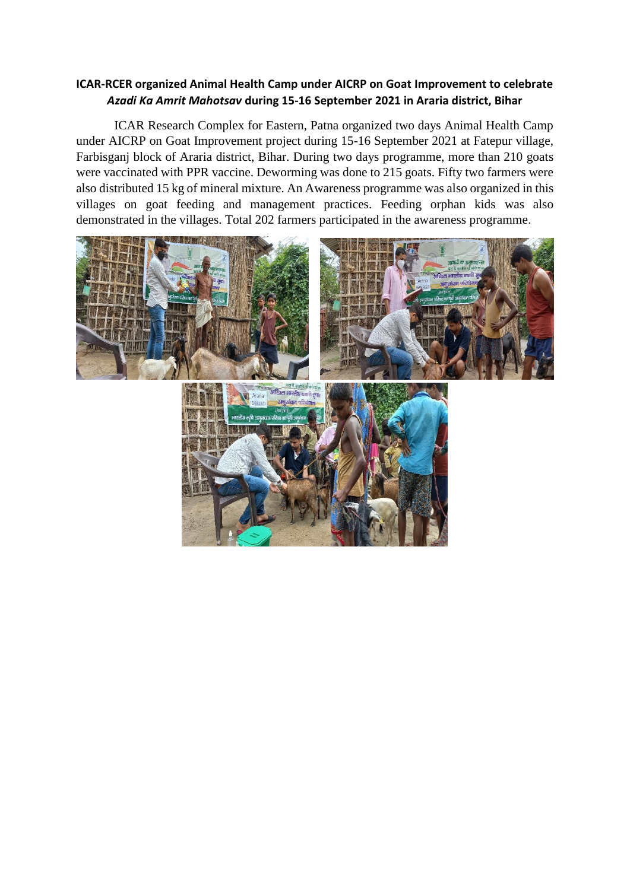## **ICAR-RCER organized Animal Health Camp under AICRP on Goat Improvement to celebrate**  *Azadi Ka Amrit Mahotsav* **during 15-16 September 2021 in Araria district, Bihar**

ICAR Research Complex for Eastern, Patna organized two days Animal Health Camp under AICRP on Goat Improvement project during 15-16 September 2021 at Fatepur village, Farbisganj block of Araria district, Bihar. During two days programme, more than 210 goats were vaccinated with PPR vaccine. Deworming was done to 215 goats. Fifty two farmers were also distributed 15 kg of mineral mixture. An Awareness programme was also organized in this villages on goat feeding and management practices. Feeding orphan kids was also demonstrated in the villages. Total 202 farmers participated in the awareness programme.